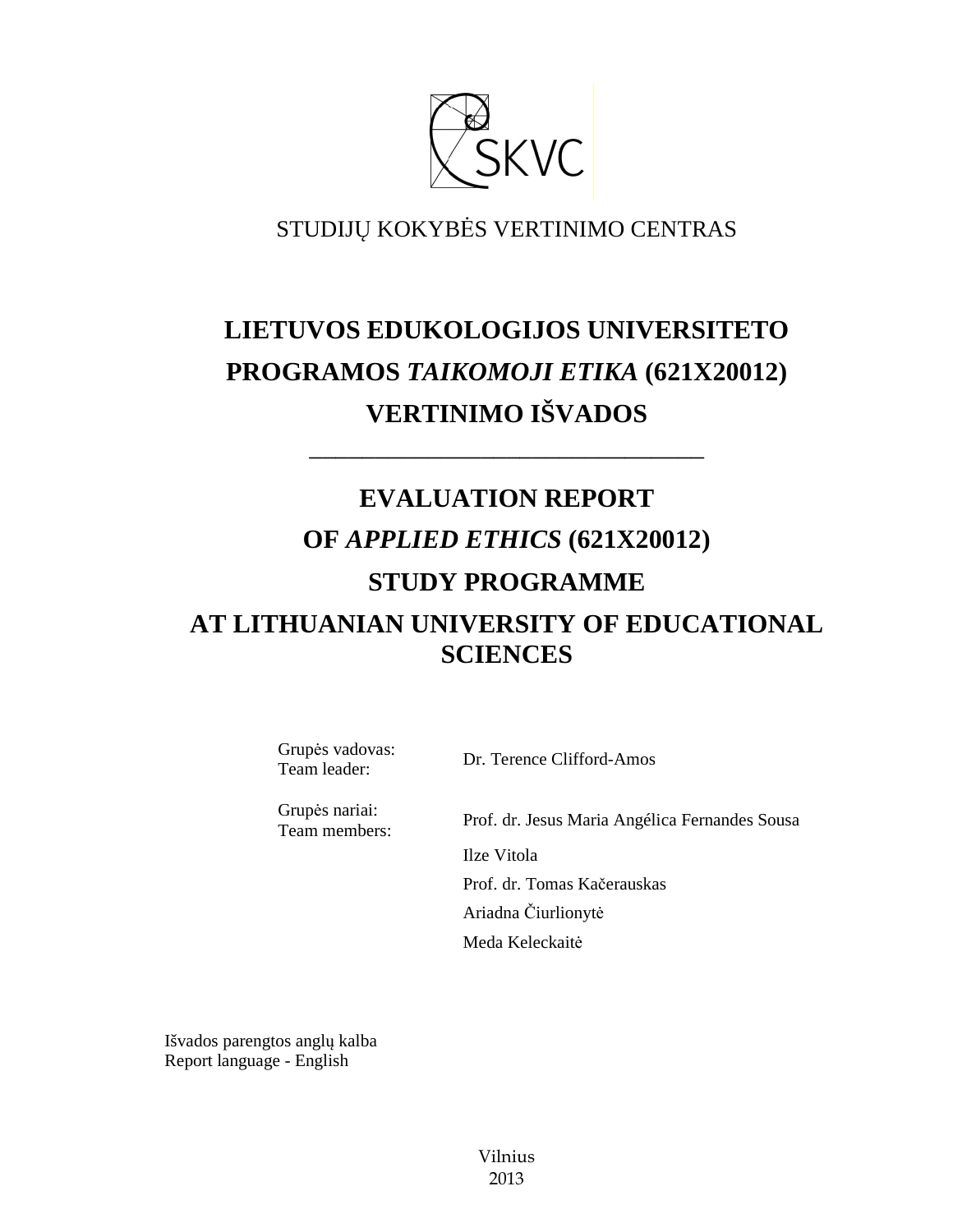

# STUDIJŲ KOKYBĖS VERTINIMO CENTRAS

# **LIETUVOS EDUKOLOGIJOS UNIVERSITETO PROGRAMOS** *TAIKOMOJI ETIKA* **(621X20012) VERTINIMO IŠVADOS**

––––––––––––––––––––––––––––––

# **EVALUATION REPORT OF** *APPLIED ETHICS* **(621X20012) STUDY PROGRAMME AT LITHUANIAN UNIVERSITY OF EDUCATIONAL SCIENCES**

Grupės vadovas:

Team leader: Dr. Terence Clifford-Amos

Grupės nariai:

Team members: Prof. dr. Jesus Maria Angélica Fernandes Sousa Ilze Vitola Prof. dr. Tomas Kačerauskas Ariadna Čiurlionytė Meda Keleckaitė

Išvados parengtos anglų kalba Report language - English

> Vilnius 2013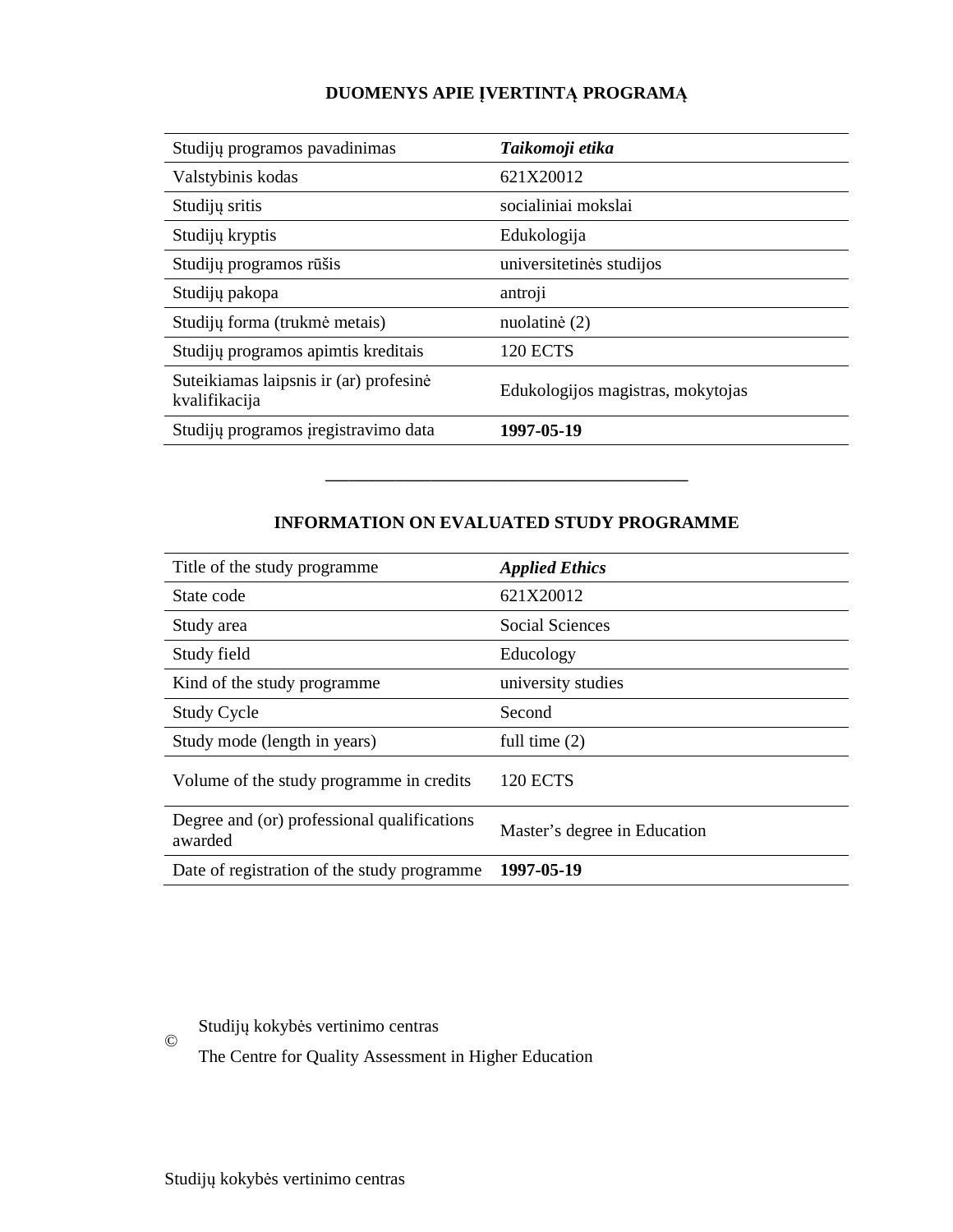# **DUOMENYS APIE ĮVERTINTĄ PROGRAMĄ**

| Studijų programos pavadinimas                           | Taikomoji etika                   |
|---------------------------------------------------------|-----------------------------------|
| Valstybinis kodas                                       | 621X20012                         |
| Studijų sritis                                          | socialiniai mokslai               |
| Studijų kryptis                                         | Edukologija                       |
| Studijų programos rūšis                                 | universitetinės studijos          |
| Studijų pakopa                                          | antroji                           |
| Studijų forma (trukmė metais)                           | nuolatinė (2)                     |
| Studijų programos apimtis kreditais                     | <b>120 ECTS</b>                   |
| Suteikiamas laipsnis ir (ar) profesinė<br>kvalifikacija | Edukologijos magistras, mokytojas |
| Studijų programos įregistravimo data                    | 1997-05-19                        |

# **INFORMATION ON EVALUATED STUDY PROGRAMME**

–––––––––––––––––––––––––––––––

| Title of the study programme                           | <b>Applied Ethics</b>        |
|--------------------------------------------------------|------------------------------|
| State code                                             | 621X20012                    |
| Study area                                             | <b>Social Sciences</b>       |
| Study field                                            | Educology                    |
| Kind of the study programme                            | university studies           |
| <b>Study Cycle</b>                                     | Second                       |
| Study mode (length in years)                           | full time $(2)$              |
| Volume of the study programme in credits               | <b>120 ECTS</b>              |
| Degree and (or) professional qualifications<br>awarded | Master's degree in Education |
| Date of registration of the study programme            | 1997-05-19                   |

Studijų kokybės vertinimo centras

The Centre for Quality Assessment in Higher Education

©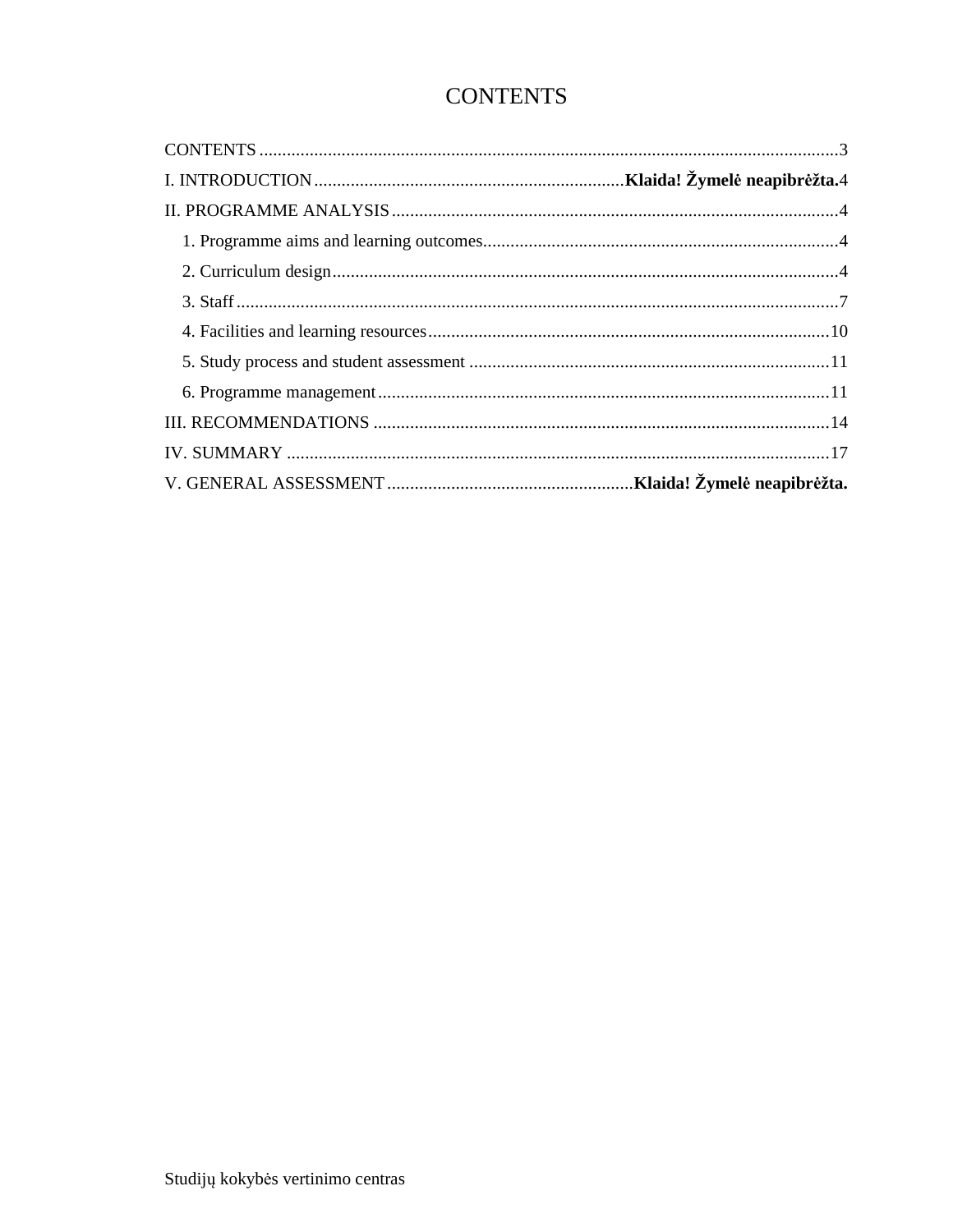# **CONTENTS**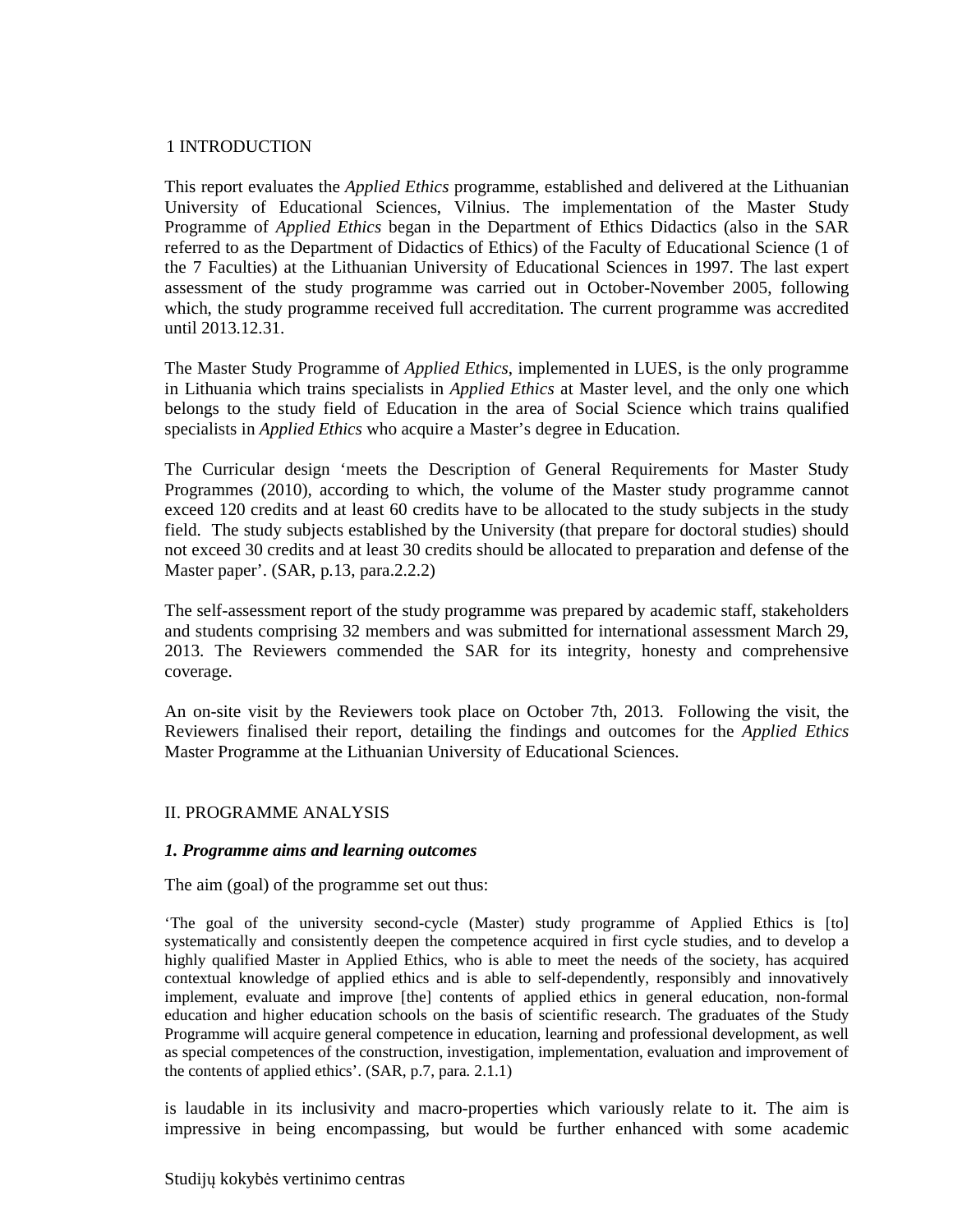#### 1 INTRODUCTION

This report evaluates the *Applied Ethics* programme, established and delivered at the Lithuanian University of Educational Sciences, Vilnius. The implementation of the Master Study Programme of *Applied Ethics* began in the Department of Ethics Didactics (also in the SAR referred to as the Department of Didactics of Ethics) of the Faculty of Educational Science (1 of the 7 Faculties) at the Lithuanian University of Educational Sciences in 1997. The last expert assessment of the study programme was carried out in October-November 2005, following which, the study programme received full accreditation. The current programme was accredited until 2013.12.31.

The Master Study Programme of *Applied Ethics*, implemented in LUES, is the only programme in Lithuania which trains specialists in *Applied Ethics* at Master level, and the only one which belongs to the study field of Education in the area of Social Science which trains qualified specialists in *Applied Ethics* who acquire a Master's degree in Education.

The Curricular design 'meets the Description of General Requirements for Master Study Programmes (2010), according to which, the volume of the Master study programme cannot exceed 120 credits and at least 60 credits have to be allocated to the study subjects in the study field. The study subjects established by the University (that prepare for doctoral studies) should not exceed 30 credits and at least 30 credits should be allocated to preparation and defense of the Master paper'. (SAR, p.13, para.2.2.2)

The self-assessment report of the study programme was prepared by academic staff, stakeholders and students comprising 32 members and was submitted for international assessment March 29, 2013. The Reviewers commended the SAR for its integrity, honesty and comprehensive coverage.

An on-site visit by the Reviewers took place on October 7th, 2013. Following the visit, the Reviewers finalised their report, detailing the findings and outcomes for the *Applied Ethics* Master Programme at the Lithuanian University of Educational Sciences.

#### II. PROGRAMME ANALYSIS

#### *1. Programme aims and learning outcomes*

The aim (goal) of the programme set out thus:

'The goal of the university second-cycle (Master) study programme of Applied Ethics is [to] systematically and consistently deepen the competence acquired in first cycle studies, and to develop a highly qualified Master in Applied Ethics, who is able to meet the needs of the society, has acquired contextual knowledge of applied ethics and is able to self-dependently, responsibly and innovatively implement, evaluate and improve [the] contents of applied ethics in general education, non-formal education and higher education schools on the basis of scientific research. The graduates of the Study Programme will acquire general competence in education, learning and professional development, as well as special competences of the construction, investigation, implementation, evaluation and improvement of the contents of applied ethics'. (SAR, p.7, para. 2.1.1)

is laudable in its inclusivity and macro-properties which variously relate to it. The aim is impressive in being encompassing, but would be further enhanced with some academic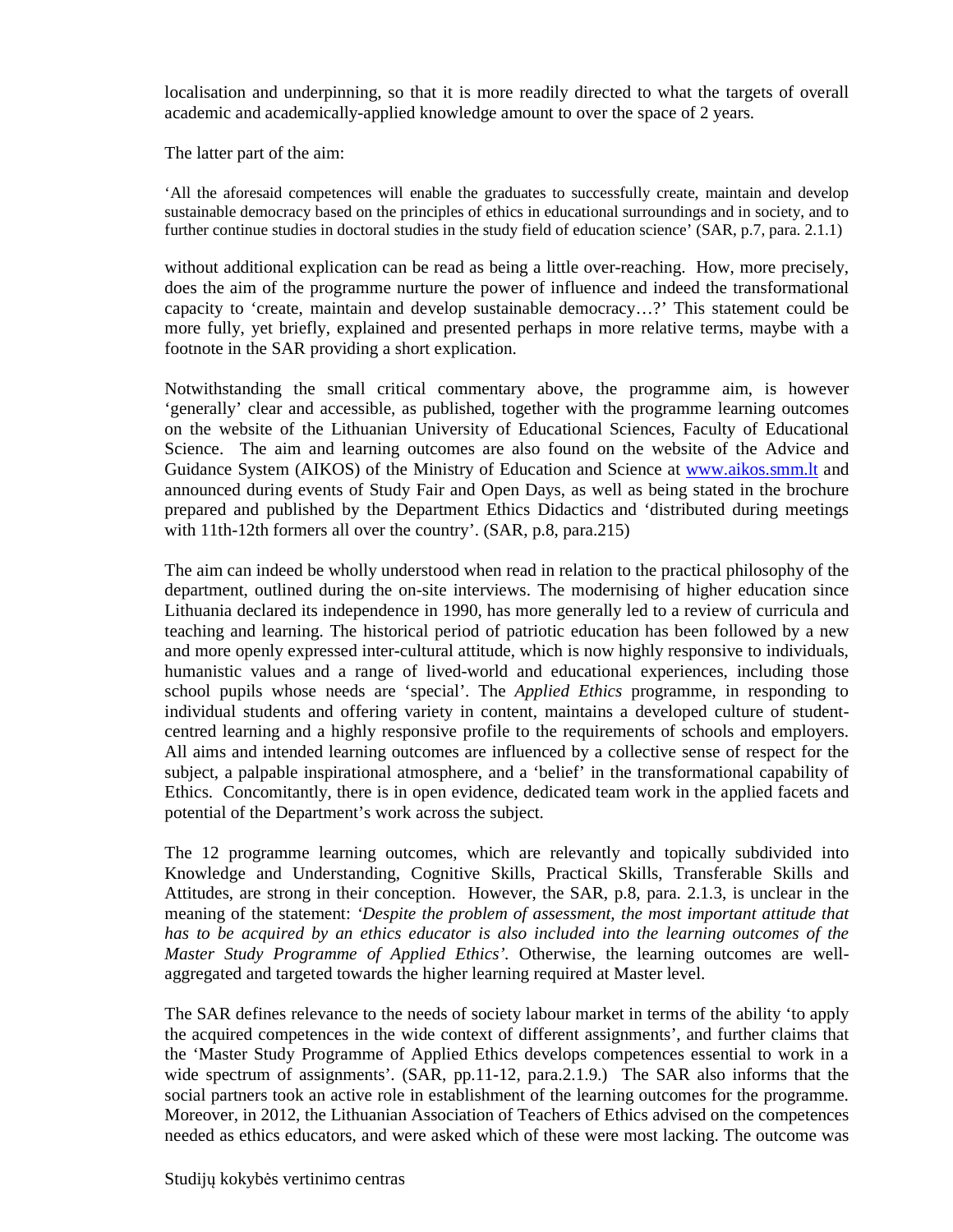localisation and underpinning, so that it is more readily directed to what the targets of overall academic and academically-applied knowledge amount to over the space of 2 years.

The latter part of the aim:

'All the aforesaid competences will enable the graduates to successfully create, maintain and develop sustainable democracy based on the principles of ethics in educational surroundings and in society, and to further continue studies in doctoral studies in the study field of education science' (SAR, p.7, para. 2.1.1)

without additional explication can be read as being a little over-reaching. How, more precisely, does the aim of the programme nurture the power of influence and indeed the transformational capacity to 'create, maintain and develop sustainable democracy…?' This statement could be more fully, yet briefly, explained and presented perhaps in more relative terms, maybe with a footnote in the SAR providing a short explication.

Notwithstanding the small critical commentary above, the programme aim, is however 'generally' clear and accessible, as published, together with the programme learning outcomes on the website of the Lithuanian University of Educational Sciences, Faculty of Educational Science. The aim and learning outcomes are also found on the website of the Advice and Guidance System (AIKOS) of the Ministry of Education and Science at www.aikos.smm.lt and announced during events of Study Fair and Open Days, as well as being stated in the brochure prepared and published by the Department Ethics Didactics and 'distributed during meetings with 11th-12th formers all over the country'. (SAR, p.8, para.215)

The aim can indeed be wholly understood when read in relation to the practical philosophy of the department, outlined during the on-site interviews. The modernising of higher education since Lithuania declared its independence in 1990, has more generally led to a review of curricula and teaching and learning. The historical period of patriotic education has been followed by a new and more openly expressed inter-cultural attitude, which is now highly responsive to individuals, humanistic values and a range of lived-world and educational experiences, including those school pupils whose needs are 'special'. The *Applied Ethics* programme, in responding to individual students and offering variety in content, maintains a developed culture of studentcentred learning and a highly responsive profile to the requirements of schools and employers. All aims and intended learning outcomes are influenced by a collective sense of respect for the subject, a palpable inspirational atmosphere, and a 'belief' in the transformational capability of Ethics. Concomitantly, there is in open evidence, dedicated team work in the applied facets and potential of the Department's work across the subject.

The 12 programme learning outcomes, which are relevantly and topically subdivided into Knowledge and Understanding, Cognitive Skills, Practical Skills, Transferable Skills and Attitudes, are strong in their conception. However, the SAR, p.8, para. 2.1.3, is unclear in the meaning of the statement: *'Despite the problem of assessment, the most important attitude that has to be acquired by an ethics educator is also included into the learning outcomes of the Master Study Programme of Applied Ethics'.* Otherwise, the learning outcomes are wellaggregated and targeted towards the higher learning required at Master level.

The SAR defines relevance to the needs of society labour market in terms of the ability 'to apply the acquired competences in the wide context of different assignments', and further claims that the 'Master Study Programme of Applied Ethics develops competences essential to work in a wide spectrum of assignments'. (SAR, pp.11-12, para.2.1.9.) The SAR also informs that the social partners took an active role in establishment of the learning outcomes for the programme. Moreover, in 2012, the Lithuanian Association of Teachers of Ethics advised on the competences needed as ethics educators, and were asked which of these were most lacking. The outcome was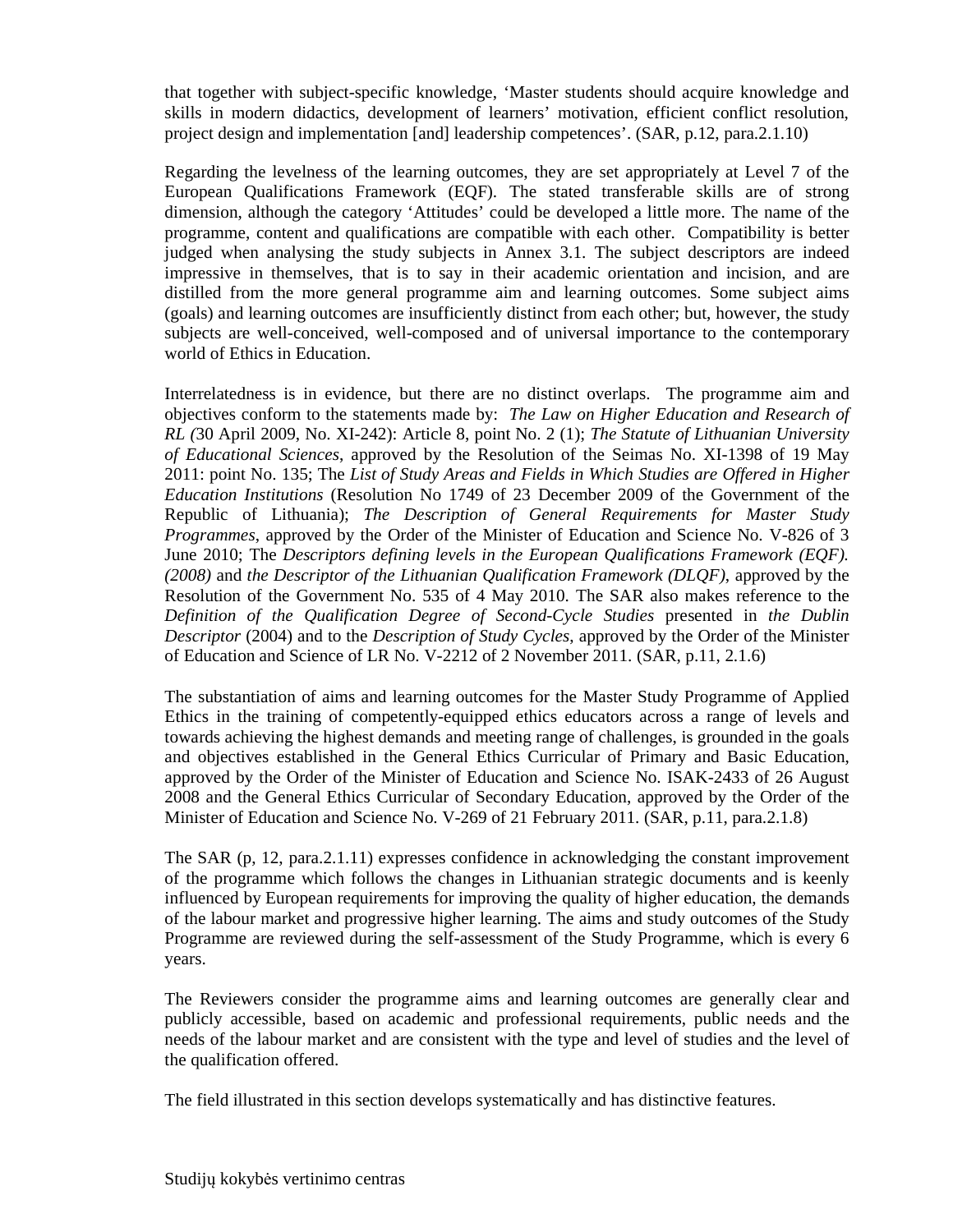that together with subject-specific knowledge, 'Master students should acquire knowledge and skills in modern didactics, development of learners' motivation, efficient conflict resolution, project design and implementation [and] leadership competences'. (SAR, p.12, para.2.1.10)

Regarding the levelness of the learning outcomes, they are set appropriately at Level 7 of the European Qualifications Framework (EQF). The stated transferable skills are of strong dimension, although the category 'Attitudes' could be developed a little more. The name of the programme, content and qualifications are compatible with each other. Compatibility is better judged when analysing the study subjects in Annex 3.1. The subject descriptors are indeed impressive in themselves, that is to say in their academic orientation and incision, and are distilled from the more general programme aim and learning outcomes. Some subject aims (goals) and learning outcomes are insufficiently distinct from each other; but, however, the study subjects are well-conceived, well-composed and of universal importance to the contemporary world of Ethics in Education.

Interrelatedness is in evidence, but there are no distinct overlaps. The programme aim and objectives conform to the statements made by: *The Law on Higher Education and Research of RL (*30 April 2009, No. XI-242): Article 8, point No. 2 (1); *The Statute of Lithuanian University of Educational Sciences*, approved by the Resolution of the Seimas No. XI-1398 of 19 May 2011: point No. 135; The *List of Study Areas and Fields in Which Studies are Offered in Higher Education Institutions* (Resolution No 1749 of 23 December 2009 of the Government of the Republic of Lithuania); *The Description of General Requirements for Master Study Programmes*, approved by the Order of the Minister of Education and Science No. V-826 of 3 June 2010; The *Descriptors defining levels in the European Qualifications Framework (EQF). (2008)* and *the Descriptor of the Lithuanian Qualification Framework (DLQF)*, approved by the Resolution of the Government No. 535 of 4 May 2010. The SAR also makes reference to the *Definition of the Qualification Degree of Second-Cycle Studies* presented in *the Dublin Descriptor* (2004) and to the *Description of Study Cycles*, approved by the Order of the Minister of Education and Science of LR No. V-2212 of 2 November 2011. (SAR, p.11, 2.1.6)

The substantiation of aims and learning outcomes for the Master Study Programme of Applied Ethics in the training of competently-equipped ethics educators across a range of levels and towards achieving the highest demands and meeting range of challenges, is grounded in the goals and objectives established in the General Ethics Curricular of Primary and Basic Education, approved by the Order of the Minister of Education and Science No. ISAK-2433 of 26 August 2008 and the General Ethics Curricular of Secondary Education, approved by the Order of the Minister of Education and Science No. V-269 of 21 February 2011. (SAR, p.11, para.2.1.8)

The SAR (p, 12, para.2.1.11) expresses confidence in acknowledging the constant improvement of the programme which follows the changes in Lithuanian strategic documents and is keenly influenced by European requirements for improving the quality of higher education, the demands of the labour market and progressive higher learning. The aims and study outcomes of the Study Programme are reviewed during the self-assessment of the Study Programme, which is every 6 years.

The Reviewers consider the programme aims and learning outcomes are generally clear and publicly accessible, based on academic and professional requirements, public needs and the needs of the labour market and are consistent with the type and level of studies and the level of the qualification offered.

The field illustrated in this section develops systematically and has distinctive features.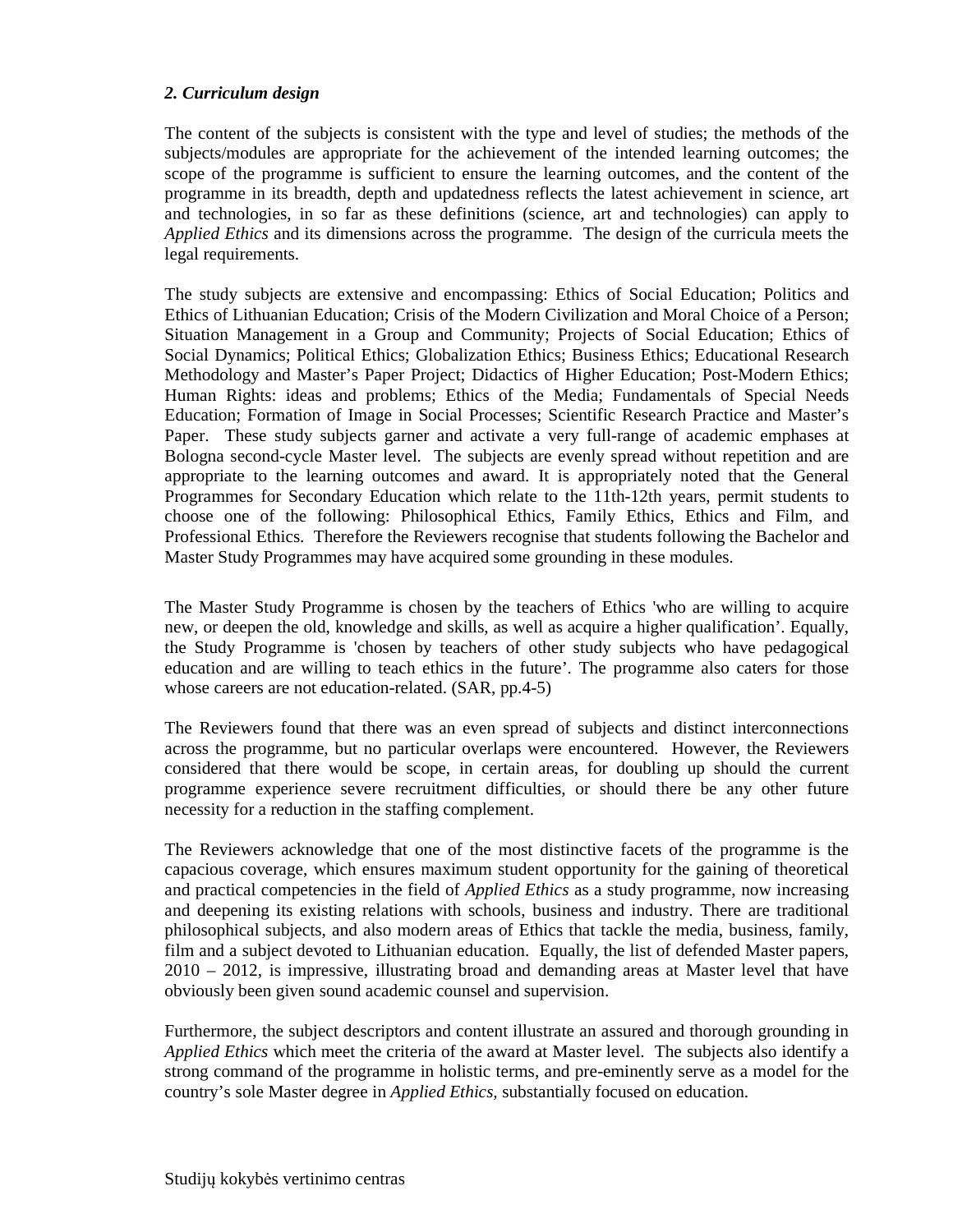## *2. Curriculum design*

The content of the subjects is consistent with the type and level of studies; the methods of the subjects/modules are appropriate for the achievement of the intended learning outcomes; the scope of the programme is sufficient to ensure the learning outcomes, and the content of the programme in its breadth, depth and updatedness reflects the latest achievement in science, art and technologies, in so far as these definitions (science, art and technologies) can apply to *Applied Ethics* and its dimensions across the programme. The design of the curricula meets the legal requirements.

The study subjects are extensive and encompassing: Ethics of Social Education; Politics and Ethics of Lithuanian Education; Crisis of the Modern Civilization and Moral Choice of a Person; Situation Management in a Group and Community; Projects of Social Education; Ethics of Social Dynamics; Political Ethics; Globalization Ethics; Business Ethics; Educational Research Methodology and Master's Paper Project; Didactics of Higher Education; Post-Modern Ethics; Human Rights: ideas and problems; Ethics of the Media; Fundamentals of Special Needs Education; Formation of Image in Social Processes; Scientific Research Practice and Master's Paper. These study subjects garner and activate a very full-range of academic emphases at Bologna second-cycle Master level. The subjects are evenly spread without repetition and are appropriate to the learning outcomes and award. It is appropriately noted that the General Programmes for Secondary Education which relate to the 11th-12th years, permit students to choose one of the following: Philosophical Ethics, Family Ethics, Ethics and Film, and Professional Ethics. Therefore the Reviewers recognise that students following the Bachelor and Master Study Programmes may have acquired some grounding in these modules.

The Master Study Programme is chosen by the teachers of Ethics 'who are willing to acquire new, or deepen the old, knowledge and skills, as well as acquire a higher qualification'. Equally, the Study Programme is 'chosen by teachers of other study subjects who have pedagogical education and are willing to teach ethics in the future'. The programme also caters for those whose careers are not education-related. (SAR, pp.4-5)

The Reviewers found that there was an even spread of subjects and distinct interconnections across the programme, but no particular overlaps were encountered. However, the Reviewers considered that there would be scope, in certain areas, for doubling up should the current programme experience severe recruitment difficulties, or should there be any other future necessity for a reduction in the staffing complement.

The Reviewers acknowledge that one of the most distinctive facets of the programme is the capacious coverage, which ensures maximum student opportunity for the gaining of theoretical and practical competencies in the field of *Applied Ethics* as a study programme, now increasing and deepening its existing relations with schools, business and industry. There are traditional philosophical subjects, and also modern areas of Ethics that tackle the media, business, family, film and a subject devoted to Lithuanian education. Equally, the list of defended Master papers, 2010 – 2012, is impressive, illustrating broad and demanding areas at Master level that have obviously been given sound academic counsel and supervision.

Furthermore, the subject descriptors and content illustrate an assured and thorough grounding in *Applied Ethics* which meet the criteria of the award at Master level. The subjects also identify a strong command of the programme in holistic terms, and pre-eminently serve as a model for the country's sole Master degree in *Applied Ethics,* substantially focused on education.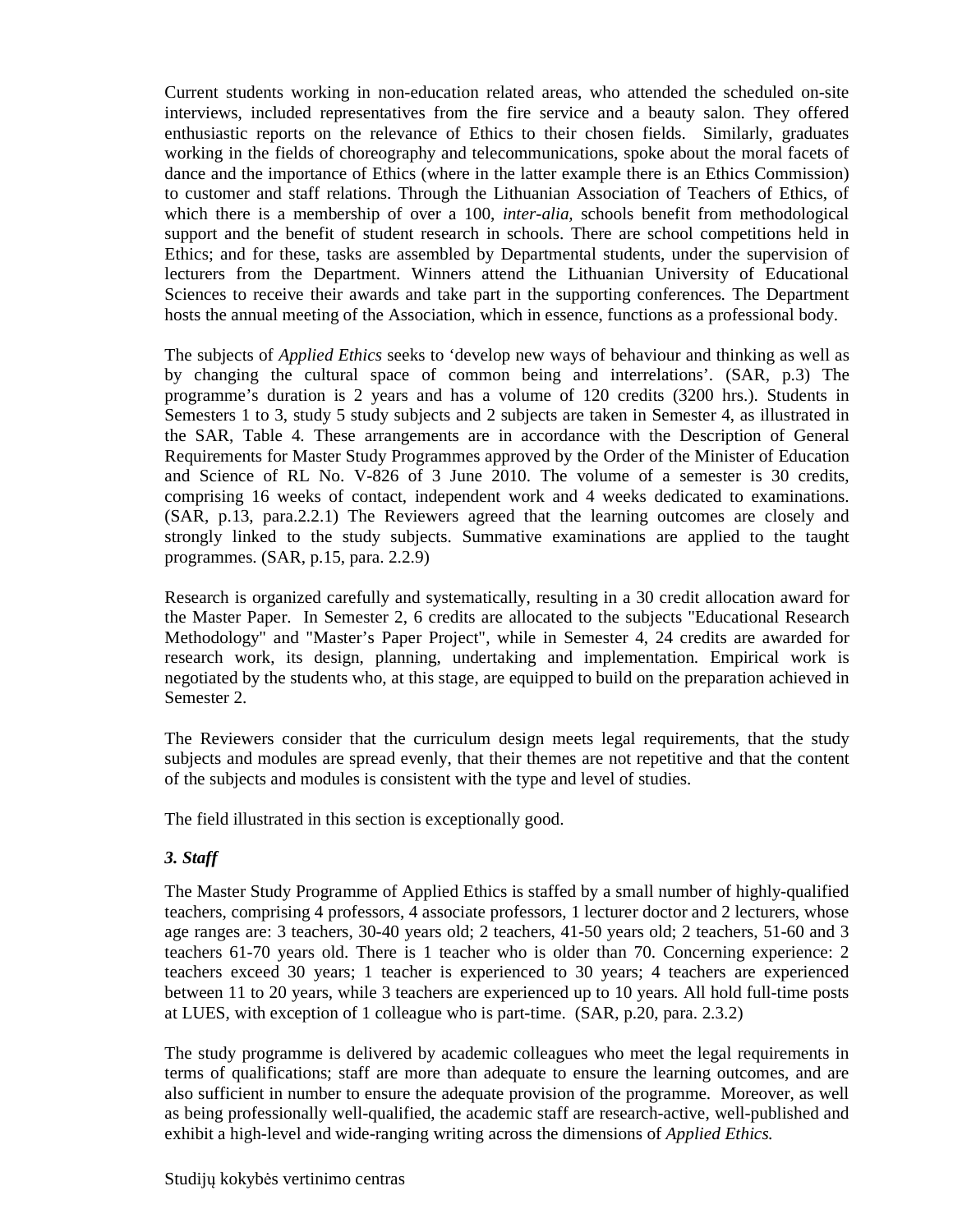Current students working in non-education related areas, who attended the scheduled on-site interviews, included representatives from the fire service and a beauty salon. They offered enthusiastic reports on the relevance of Ethics to their chosen fields. Similarly, graduates working in the fields of choreography and telecommunications, spoke about the moral facets of dance and the importance of Ethics (where in the latter example there is an Ethics Commission) to customer and staff relations. Through the Lithuanian Association of Teachers of Ethics, of which there is a membership of over a 100, *inter-alia,* schools benefit from methodological support and the benefit of student research in schools. There are school competitions held in Ethics; and for these, tasks are assembled by Departmental students, under the supervision of lecturers from the Department. Winners attend the Lithuanian University of Educational Sciences to receive their awards and take part in the supporting conferences. The Department hosts the annual meeting of the Association, which in essence, functions as a professional body.

The subjects of *Applied Ethics* seeks to 'develop new ways of behaviour and thinking as well as by changing the cultural space of common being and interrelations'. (SAR, p.3) The programme's duration is 2 years and has a volume of 120 credits (3200 hrs.). Students in Semesters 1 to 3, study 5 study subjects and 2 subjects are taken in Semester 4, as illustrated in the SAR, Table 4. These arrangements are in accordance with the Description of General Requirements for Master Study Programmes approved by the Order of the Minister of Education and Science of RL No. V-826 of 3 June 2010. The volume of a semester is 30 credits, comprising 16 weeks of contact, independent work and 4 weeks dedicated to examinations. (SAR, p.13, para.2.2.1) The Reviewers agreed that the learning outcomes are closely and strongly linked to the study subjects. Summative examinations are applied to the taught programmes. (SAR, p.15, para. 2.2.9)

Research is organized carefully and systematically, resulting in a 30 credit allocation award for the Master Paper. In Semester 2, 6 credits are allocated to the subjects "Educational Research Methodology" and "Master's Paper Project", while in Semester 4, 24 credits are awarded for research work, its design, planning, undertaking and implementation. Empirical work is negotiated by the students who, at this stage, are equipped to build on the preparation achieved in Semester 2.

The Reviewers consider that the curriculum design meets legal requirements, that the study subjects and modules are spread evenly, that their themes are not repetitive and that the content of the subjects and modules is consistent with the type and level of studies.

The field illustrated in this section is exceptionally good.

#### *3. Staff*

The Master Study Programme of Applied Ethics is staffed by a small number of highly-qualified teachers, comprising 4 professors, 4 associate professors, 1 lecturer doctor and 2 lecturers, whose age ranges are: 3 teachers, 30-40 years old; 2 teachers, 41-50 years old; 2 teachers, 51-60 and 3 teachers 61-70 years old. There is 1 teacher who is older than 70. Concerning experience: 2 teachers exceed 30 years; 1 teacher is experienced to 30 years; 4 teachers are experienced between 11 to 20 years, while 3 teachers are experienced up to 10 years. All hold full-time posts at LUES, with exception of 1 colleague who is part-time. (SAR, p.20, para. 2.3.2)

The study programme is delivered by academic colleagues who meet the legal requirements in terms of qualifications; staff are more than adequate to ensure the learning outcomes, and are also sufficient in number to ensure the adequate provision of the programme. Moreover, as well as being professionally well-qualified, the academic staff are research-active, well-published and exhibit a high-level and wide-ranging writing across the dimensions of *Applied Ethics.*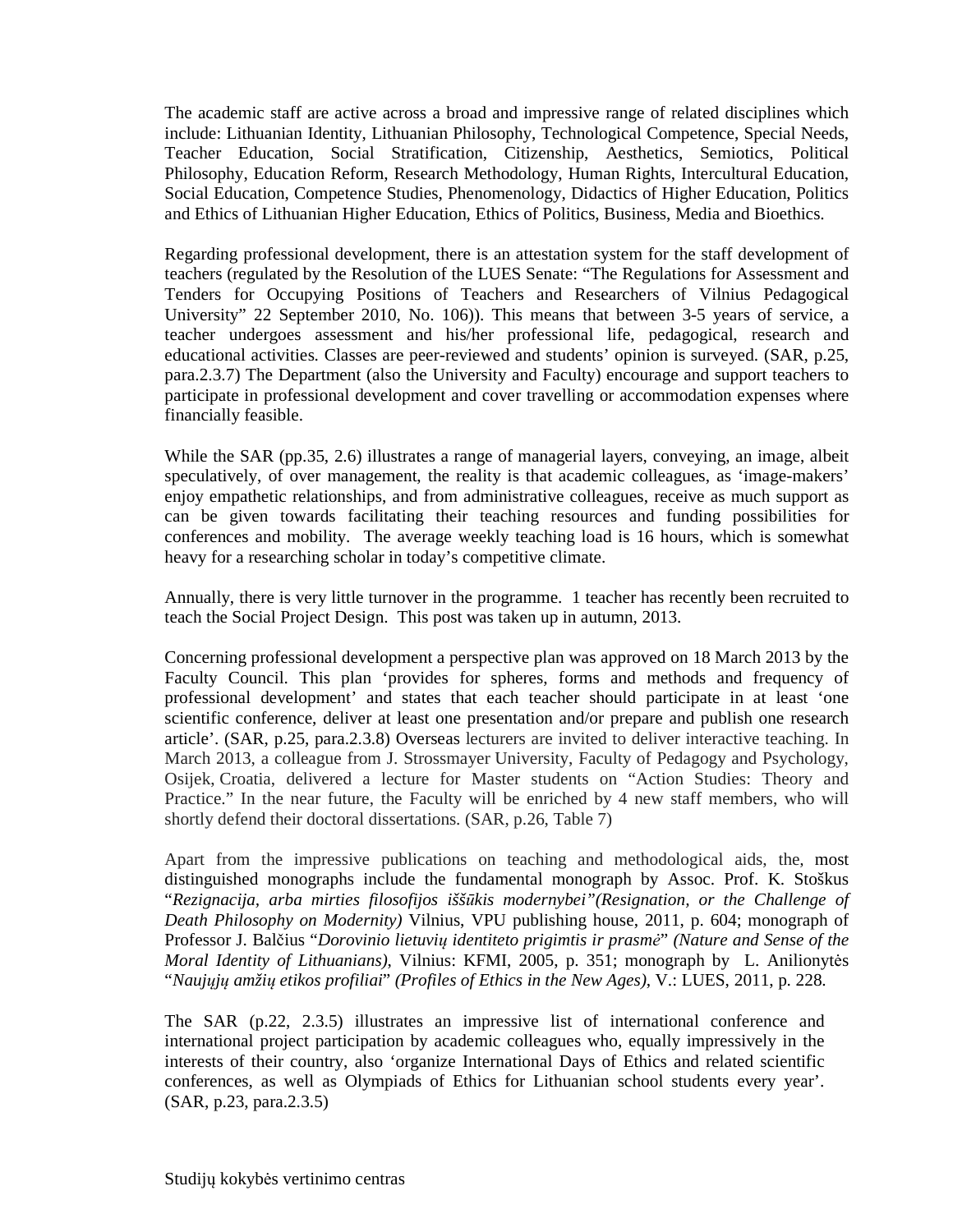The academic staff are active across a broad and impressive range of related disciplines which include: Lithuanian Identity, Lithuanian Philosophy, Technological Competence, Special Needs, Teacher Education, Social Stratification, Citizenship, Aesthetics, Semiotics, Political Philosophy, Education Reform, Research Methodology, Human Rights, Intercultural Education, Social Education, Competence Studies, Phenomenology, Didactics of Higher Education, Politics and Ethics of Lithuanian Higher Education, Ethics of Politics, Business, Media and Bioethics.

Regarding professional development, there is an attestation system for the staff development of teachers (regulated by the Resolution of the LUES Senate: "The Regulations for Assessment and Tenders for Occupying Positions of Teachers and Researchers of Vilnius Pedagogical University" 22 September 2010, No. 106)). This means that between 3-5 years of service, a teacher undergoes assessment and his/her professional life, pedagogical, research and educational activities. Classes are peer-reviewed and students' opinion is surveyed. (SAR, p.25, para.2.3.7) The Department (also the University and Faculty) encourage and support teachers to participate in professional development and cover travelling or accommodation expenses where financially feasible.

While the SAR (pp.35, 2.6) illustrates a range of managerial layers, conveying, an image, albeit speculatively, of over management, the reality is that academic colleagues, as 'image-makers' enjoy empathetic relationships, and from administrative colleagues, receive as much support as can be given towards facilitating their teaching resources and funding possibilities for conferences and mobility. The average weekly teaching load is 16 hours, which is somewhat heavy for a researching scholar in today's competitive climate.

Annually, there is very little turnover in the programme. 1 teacher has recently been recruited to teach the Social Project Design. This post was taken up in autumn, 2013.

Concerning professional development a perspective plan was approved on 18 March 2013 by the Faculty Council. This plan 'provides for spheres, forms and methods and frequency of professional development' and states that each teacher should participate in at least 'one scientific conference, deliver at least one presentation and/or prepare and publish one research article'. (SAR, p.25, para.2.3.8) Overseas lecturers are invited to deliver interactive teaching. In March 2013, a colleague from J. Strossmayer University, Faculty of Pedagogy and Psychology, Osijek, Croatia, delivered a lecture for Master students on "Action Studies: Theory and Practice." In the near future, the Faculty will be enriched by 4 new staff members, who will shortly defend their doctoral dissertations. (SAR, p.26, Table 7)

Apart from the impressive publications on teaching and methodological aids, the, most distinguished monographs include the fundamental monograph by Assoc. Prof. K. Stoškus "*Rezignacija, arba mirties filosofijos iššūkis modernybei"(Resignation, or the Challenge of Death Philosophy on Modernity)* Vilnius, VPU publishing house, 2011, p. 604; monograph of Professor J. Balčius "*Dorovinio lietuvių identiteto prigimtis ir prasmė*" *(Nature and Sense of the Moral Identity of Lithuanians)*, Vilnius: KFMI, 2005, p. 351; monograph by L. Anilionytės "*Naujųjų amžių etikos profiliai*" *(Profiles of Ethics in the New Ages)*, V.: LUES, 2011, p. 228.

The SAR (p.22, 2.3.5) illustrates an impressive list of international conference and international project participation by academic colleagues who, equally impressively in the interests of their country, also 'organize International Days of Ethics and related scientific conferences, as well as Olympiads of Ethics for Lithuanian school students every year'. (SAR, p.23, para.2.3.5)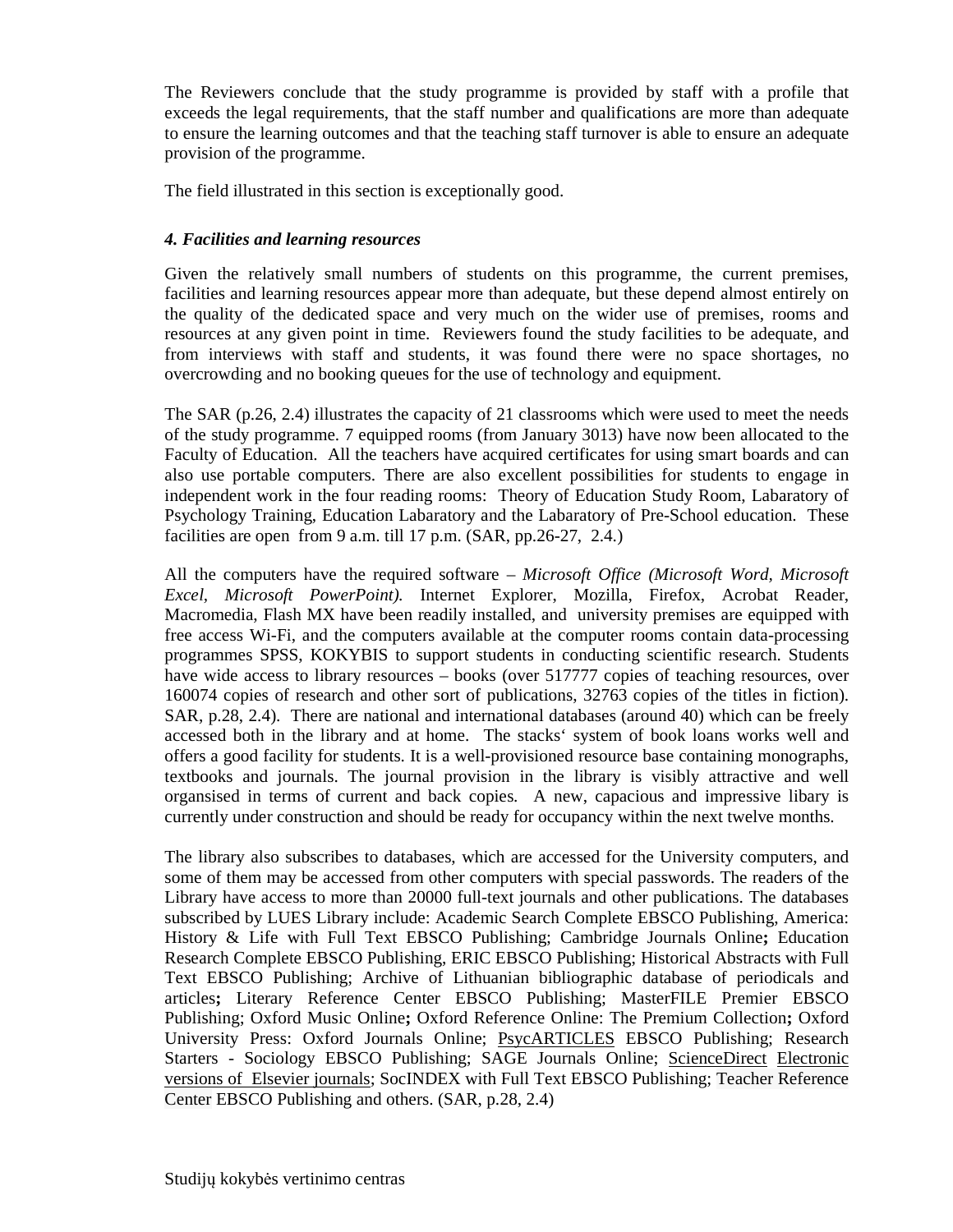The Reviewers conclude that the study programme is provided by staff with a profile that exceeds the legal requirements, that the staff number and qualifications are more than adequate to ensure the learning outcomes and that the teaching staff turnover is able to ensure an adequate provision of the programme.

The field illustrated in this section is exceptionally good.

# *4. Facilities and learning resources*

Given the relatively small numbers of students on this programme, the current premises, facilities and learning resources appear more than adequate, but these depend almost entirely on the quality of the dedicated space and very much on the wider use of premises, rooms and resources at any given point in time. Reviewers found the study facilities to be adequate, and from interviews with staff and students, it was found there were no space shortages, no overcrowding and no booking queues for the use of technology and equipment.

The SAR (p.26, 2.4) illustrates the capacity of 21 classrooms which were used to meet the needs of the study programme. 7 equipped rooms (from January 3013) have now been allocated to the Faculty of Education. All the teachers have acquired certificates for using smart boards and can also use portable computers. There are also excellent possibilities for students to engage in independent work in the four reading rooms: Theory of Education Study Room, Labaratory of Psychology Training, Education Labaratory and the Labaratory of Pre-School education. These facilities are open from 9 a.m. till 17 p.m. (SAR, pp.26-27, 2.4.)

All the computers have the required software – *Microsoft Office (Microsoft Word, Microsoft Excel, Microsoft PowerPoint).* Internet Explorer, Mozilla, Firefox, Acrobat Reader, Macromedia, Flash MX have been readily installed, and university premises are equipped with free access Wi-Fi, and the computers available at the computer rooms contain data-processing programmes SPSS, KOKYBIS to support students in conducting scientific research. Students have wide access to library resources – books (over 517777 copies of teaching resources, over 160074 copies of research and other sort of publications, 32763 copies of the titles in fiction). SAR, p.28, 2.4). There are national and international databases (around 40) which can be freely accessed both in the library and at home. The stacks' system of book loans works well and offers a good facility for students. It is a well-provisioned resource base containing monographs, textbooks and journals. The journal provision in the library is visibly attractive and well organsised in terms of current and back copies. A new, capacious and impressive libary is currently under construction and should be ready for occupancy within the next twelve months.

The library also subscribes to databases, which are accessed for the University computers, and some of them may be accessed from other computers with special passwords. The readers of the Library have access to more than 20000 full-text journals and other publications. The databases subscribed by LUES Library include: Academic Search Complete EBSCO Publishing, America: History & Life with Full Text EBSCO Publishing; Cambridge Journals Online**;** Education Research Complete EBSCO Publishing, ERIC EBSCO Publishing; Historical Abstracts with Full Text EBSCO Publishing; Archive of Lithuanian bibliographic database of periodicals and articles**;** Literary Reference Center EBSCO Publishing; MasterFILE Premier EBSCO Publishing; Oxford Music Online**;** Oxford Reference Online: The Premium Collection**;** Oxford University Press: Oxford Journals Online; PsycARTICLES EBSCO Publishing; Research Starters - Sociology EBSCO Publishing; SAGE Journals Online; ScienceDirect Electronic versions of Elsevier journals; SocINDEX with Full Text EBSCO Publishing; Teacher Reference Center EBSCO Publishing and others. (SAR, p.28, 2.4)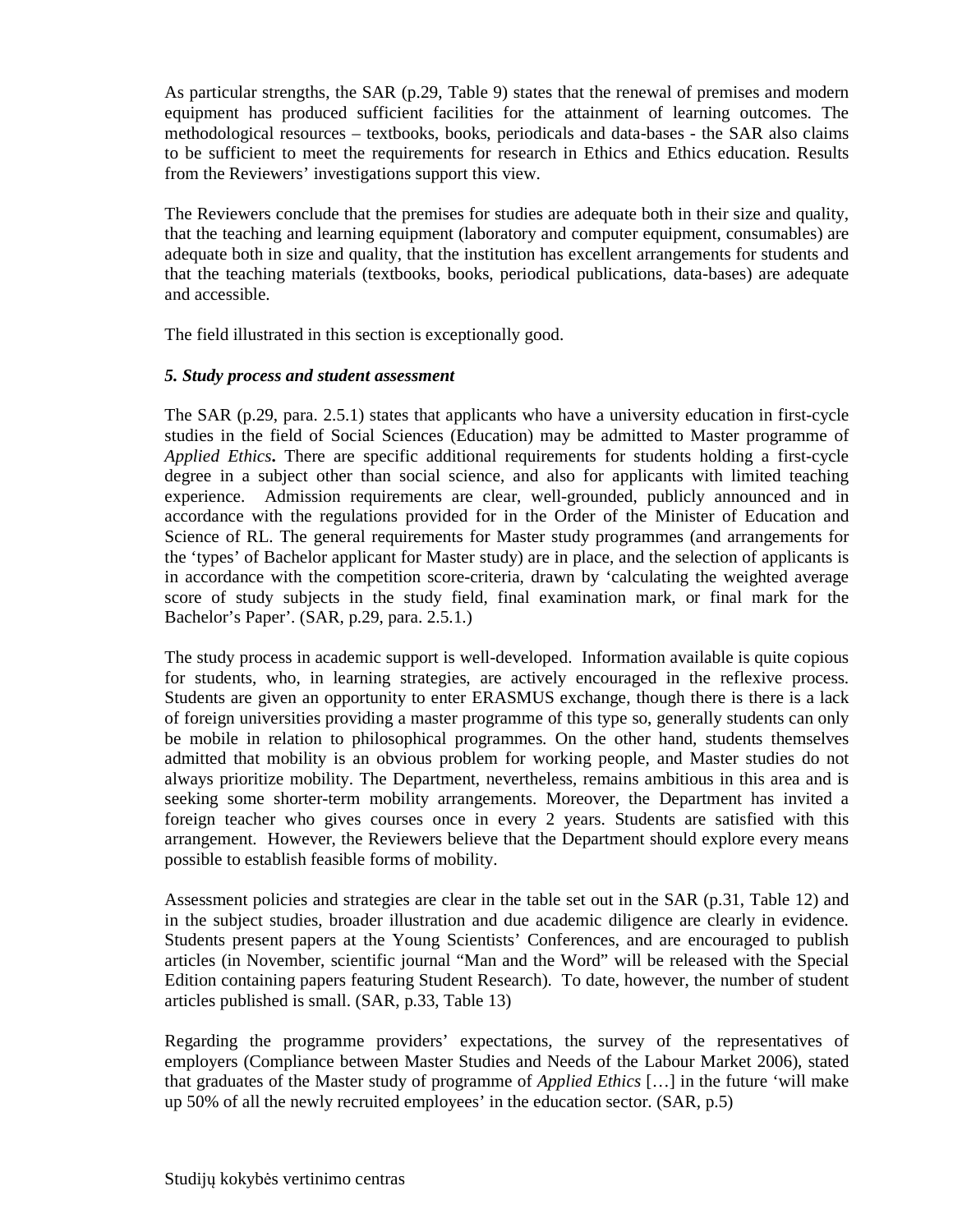As particular strengths, the SAR (p.29, Table 9) states that the renewal of premises and modern equipment has produced sufficient facilities for the attainment of learning outcomes. The methodological resources – textbooks, books, periodicals and data-bases - the SAR also claims to be sufficient to meet the requirements for research in Ethics and Ethics education. Results from the Reviewers' investigations support this view.

The Reviewers conclude that the premises for studies are adequate both in their size and quality, that the teaching and learning equipment (laboratory and computer equipment, consumables) are adequate both in size and quality, that the institution has excellent arrangements for students and that the teaching materials (textbooks, books, periodical publications, data-bases) are adequate and accessible.

The field illustrated in this section is exceptionally good.

# *5. Study process and student assessment*

The SAR (p.29, para. 2.5.1) states that applicants who have a university education in first-cycle studies in the field of Social Sciences (Education) may be admitted to Master programme of *Applied Ethics***.** There are specific additional requirements for students holding a first-cycle degree in a subject other than social science, and also for applicants with limited teaching experience. Admission requirements are clear, well-grounded, publicly announced and in accordance with the regulations provided for in the Order of the Minister of Education and Science of RL. The general requirements for Master study programmes (and arrangements for the 'types' of Bachelor applicant for Master study) are in place, and the selection of applicants is in accordance with the competition score-criteria, drawn by 'calculating the weighted average score of study subjects in the study field, final examination mark, or final mark for the Bachelor's Paper'. (SAR, p.29, para. 2.5.1.)

The study process in academic support is well-developed. Information available is quite copious for students, who, in learning strategies, are actively encouraged in the reflexive process. Students are given an opportunity to enter ERASMUS exchange, though there is there is a lack of foreign universities providing a master programme of this type so, generally students can only be mobile in relation to philosophical programmes. On the other hand, students themselves admitted that mobility is an obvious problem for working people, and Master studies do not always prioritize mobility. The Department, nevertheless, remains ambitious in this area and is seeking some shorter-term mobility arrangements. Moreover, the Department has invited a foreign teacher who gives courses once in every 2 years. Students are satisfied with this arrangement. However, the Reviewers believe that the Department should explore every means possible to establish feasible forms of mobility.

Assessment policies and strategies are clear in the table set out in the SAR (p.31, Table 12) and in the subject studies, broader illustration and due academic diligence are clearly in evidence. Students present papers at the Young Scientists' Conferences, and are encouraged to publish articles (in November, scientific journal "Man and the Word" will be released with the Special Edition containing papers featuring Student Research). To date, however, the number of student articles published is small. (SAR, p.33, Table 13)

Regarding the programme providers' expectations, the survey of the representatives of employers (Compliance between Master Studies and Needs of the Labour Market 2006), stated that graduates of the Master study of programme of *Applied Ethics* […] in the future 'will make up 50% of all the newly recruited employees' in the education sector. (SAR, p.5)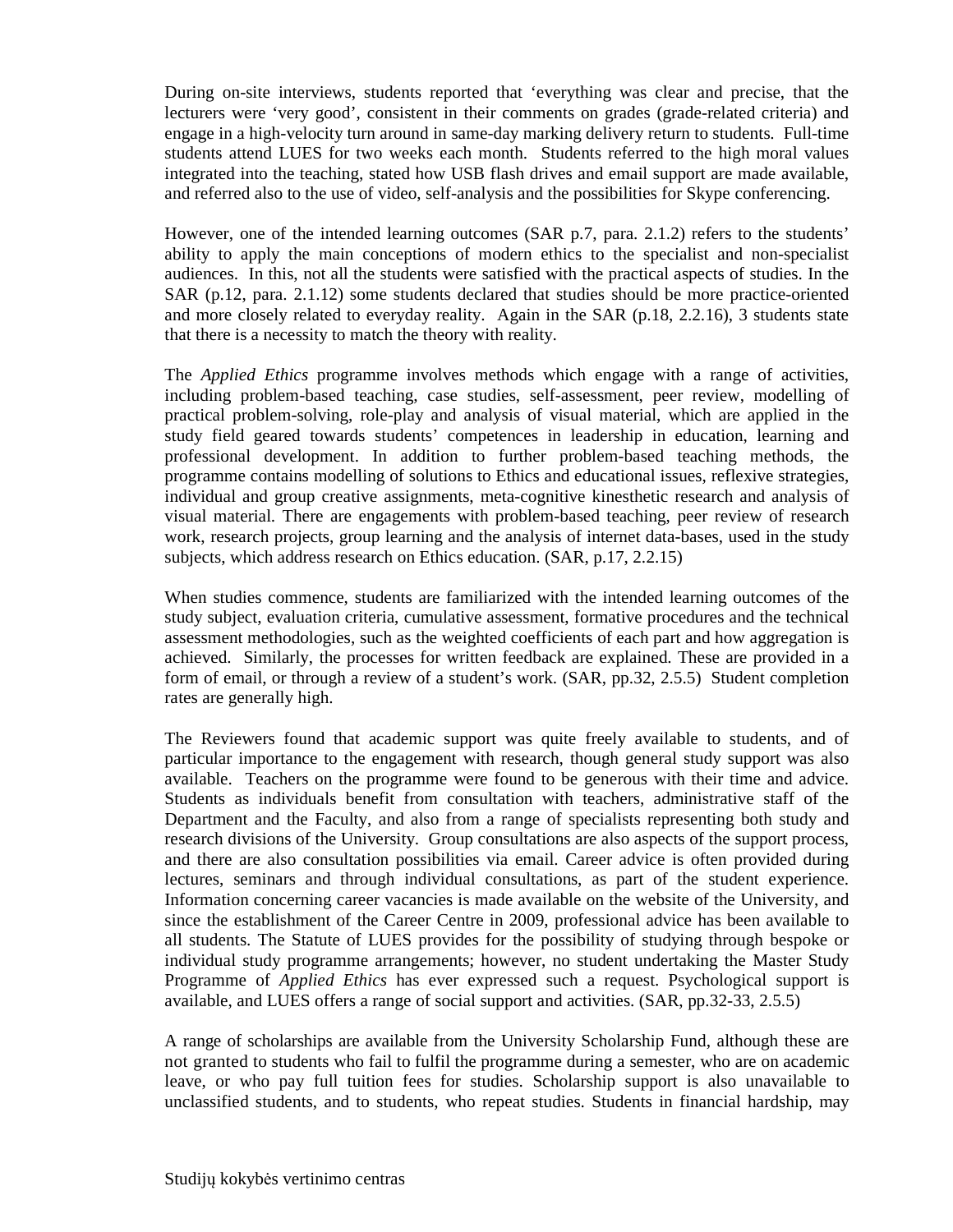During on-site interviews, students reported that 'everything was clear and precise, that the lecturers were 'very good', consistent in their comments on grades (grade-related criteria) and engage in a high-velocity turn around in same-day marking delivery return to students. Full-time students attend LUES for two weeks each month. Students referred to the high moral values integrated into the teaching, stated how USB flash drives and email support are made available, and referred also to the use of video, self-analysis and the possibilities for Skype conferencing.

However, one of the intended learning outcomes (SAR p.7, para. 2.1.2) refers to the students' ability to apply the main conceptions of modern ethics to the specialist and non-specialist audiences. In this, not all the students were satisfied with the practical aspects of studies. In the SAR (p.12, para. 2.1.12) some students declared that studies should be more practice-oriented and more closely related to everyday reality. Again in the SAR (p.18, 2.2.16), 3 students state that there is a necessity to match the theory with reality.

The *Applied Ethics* programme involves methods which engage with a range of activities, including problem-based teaching, case studies, self-assessment, peer review, modelling of practical problem-solving, role-play and analysis of visual material, which are applied in the study field geared towards students' competences in leadership in education, learning and professional development. In addition to further problem-based teaching methods, the programme contains modelling of solutions to Ethics and educational issues, reflexive strategies, individual and group creative assignments, meta-cognitive kinesthetic research and analysis of visual material. There are engagements with problem-based teaching, peer review of research work, research projects, group learning and the analysis of internet data-bases, used in the study subjects, which address research on Ethics education. (SAR, p.17, 2.2.15)

When studies commence, students are familiarized with the intended learning outcomes of the study subject, evaluation criteria, cumulative assessment, formative procedures and the technical assessment methodologies, such as the weighted coefficients of each part and how aggregation is achieved. Similarly, the processes for written feedback are explained. These are provided in a form of email, or through a review of a student's work. (SAR, pp.32, 2.5.5) Student completion rates are generally high.

The Reviewers found that academic support was quite freely available to students, and of particular importance to the engagement with research, though general study support was also available. Teachers on the programme were found to be generous with their time and advice. Students as individuals benefit from consultation with teachers, administrative staff of the Department and the Faculty, and also from a range of specialists representing both study and research divisions of the University. Group consultations are also aspects of the support process, and there are also consultation possibilities via email. Career advice is often provided during lectures, seminars and through individual consultations, as part of the student experience. Information concerning career vacancies is made available on the website of the University, and since the establishment of the Career Centre in 2009, professional advice has been available to all students. The Statute of LUES provides for the possibility of studying through bespoke or individual study programme arrangements; however, no student undertaking the Master Study Programme of *Applied Ethics* has ever expressed such a request. Psychological support is available, and LUES offers a range of social support and activities. (SAR, pp.32-33, 2.5.5)

A range of scholarships are available from the University Scholarship Fund, although these are not granted to students who fail to fulfil the programme during a semester, who are on academic leave, or who pay full tuition fees for studies. Scholarship support is also unavailable to unclassified students, and to students, who repeat studies. Students in financial hardship, may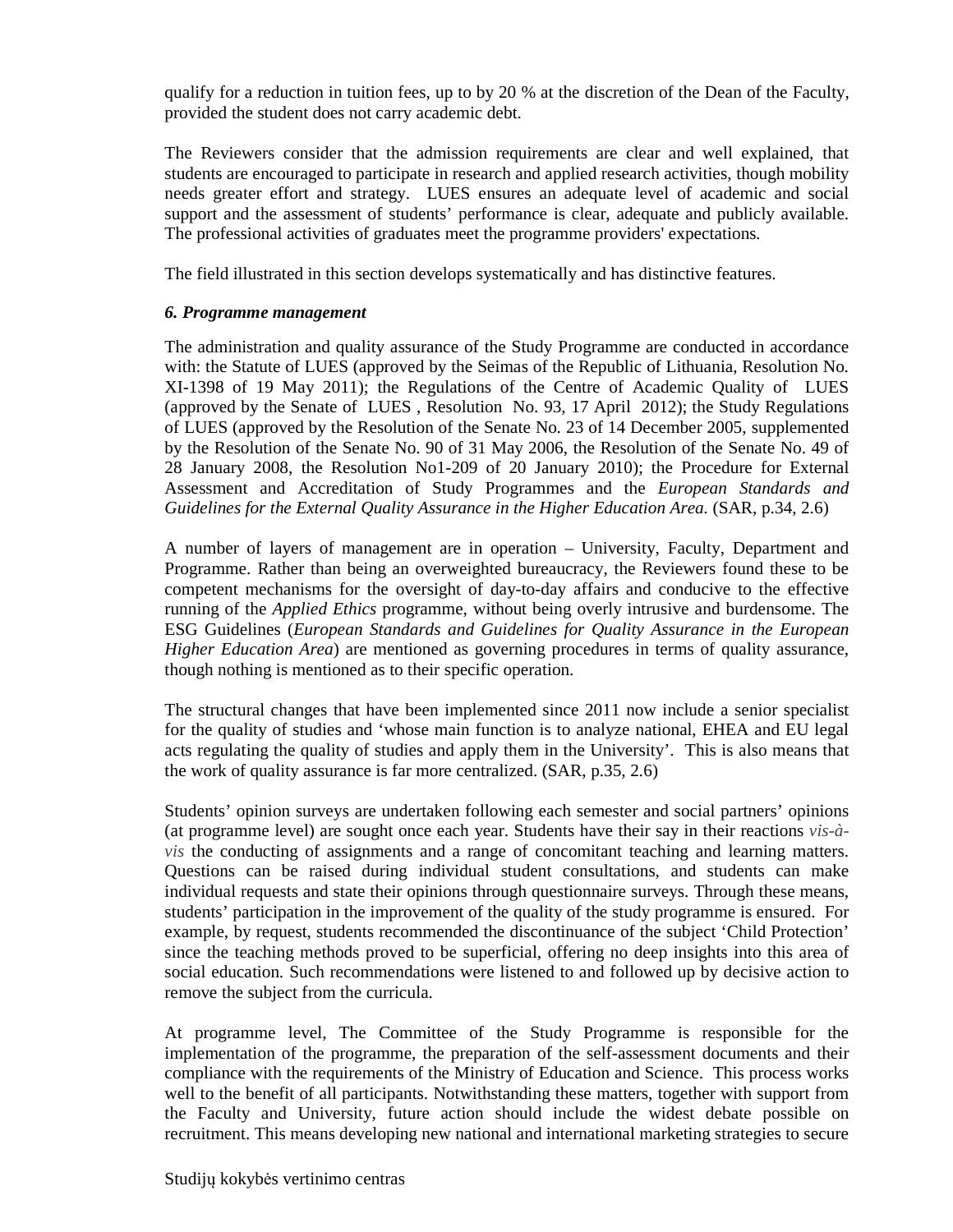qualify for a reduction in tuition fees, up to by 20 % at the discretion of the Dean of the Faculty, provided the student does not carry academic debt.

The Reviewers consider that the admission requirements are clear and well explained, that students are encouraged to participate in research and applied research activities, though mobility needs greater effort and strategy. LUES ensures an adequate level of academic and social support and the assessment of students' performance is clear, adequate and publicly available. The professional activities of graduates meet the programme providers' expectations.

The field illustrated in this section develops systematically and has distinctive features.

## *6. Programme management*

The administration and quality assurance of the Study Programme are conducted in accordance with: the Statute of LUES (approved by the Seimas of the Republic of Lithuania, Resolution No. XI-1398 of 19 May 2011); the Regulations of the Centre of Academic Quality of LUES (approved by the Senate of LUES , Resolution No. 93, 17 April 2012); the Study Regulations of LUES (approved by the Resolution of the Senate No. 23 of 14 December 2005, supplemented by the Resolution of the Senate No. 90 of 31 May 2006, the Resolution of the Senate No. 49 of 28 January 2008, the Resolution No1-209 of 20 January 2010); the Procedure for External Assessment and Accreditation of Study Programmes and the *European Standards and Guidelines for the External Quality Assurance in the Higher Education Area.* (SAR, p.34, 2.6)

A number of layers of management are in operation – University, Faculty, Department and Programme. Rather than being an overweighted bureaucracy, the Reviewers found these to be competent mechanisms for the oversight of day-to-day affairs and conducive to the effective running of the *Applied Ethics* programme, without being overly intrusive and burdensome. The ESG Guidelines (*European Standards and Guidelines for Quality Assurance in the European Higher Education Area*) are mentioned as governing procedures in terms of quality assurance, though nothing is mentioned as to their specific operation.

The structural changes that have been implemented since 2011 now include a senior specialist for the quality of studies and 'whose main function is to analyze national, EHEA and EU legal acts regulating the quality of studies and apply them in the University'. This is also means that the work of quality assurance is far more centralized. (SAR, p.35, 2.6)

Students' opinion surveys are undertaken following each semester and social partners' opinions (at programme level) are sought once each year. Students have their say in their reactions *vis-àvis* the conducting of assignments and a range of concomitant teaching and learning matters. Questions can be raised during individual student consultations, and students can make individual requests and state their opinions through questionnaire surveys. Through these means, students' participation in the improvement of the quality of the study programme is ensured. For example, by request, students recommended the discontinuance of the subject 'Child Protection' since the teaching methods proved to be superficial, offering no deep insights into this area of social education. Such recommendations were listened to and followed up by decisive action to remove the subject from the curricula.

At programme level, The Committee of the Study Programme is responsible for the implementation of the programme, the preparation of the self-assessment documents and their compliance with the requirements of the Ministry of Education and Science. This process works well to the benefit of all participants. Notwithstanding these matters, together with support from the Faculty and University, future action should include the widest debate possible on recruitment. This means developing new national and international marketing strategies to secure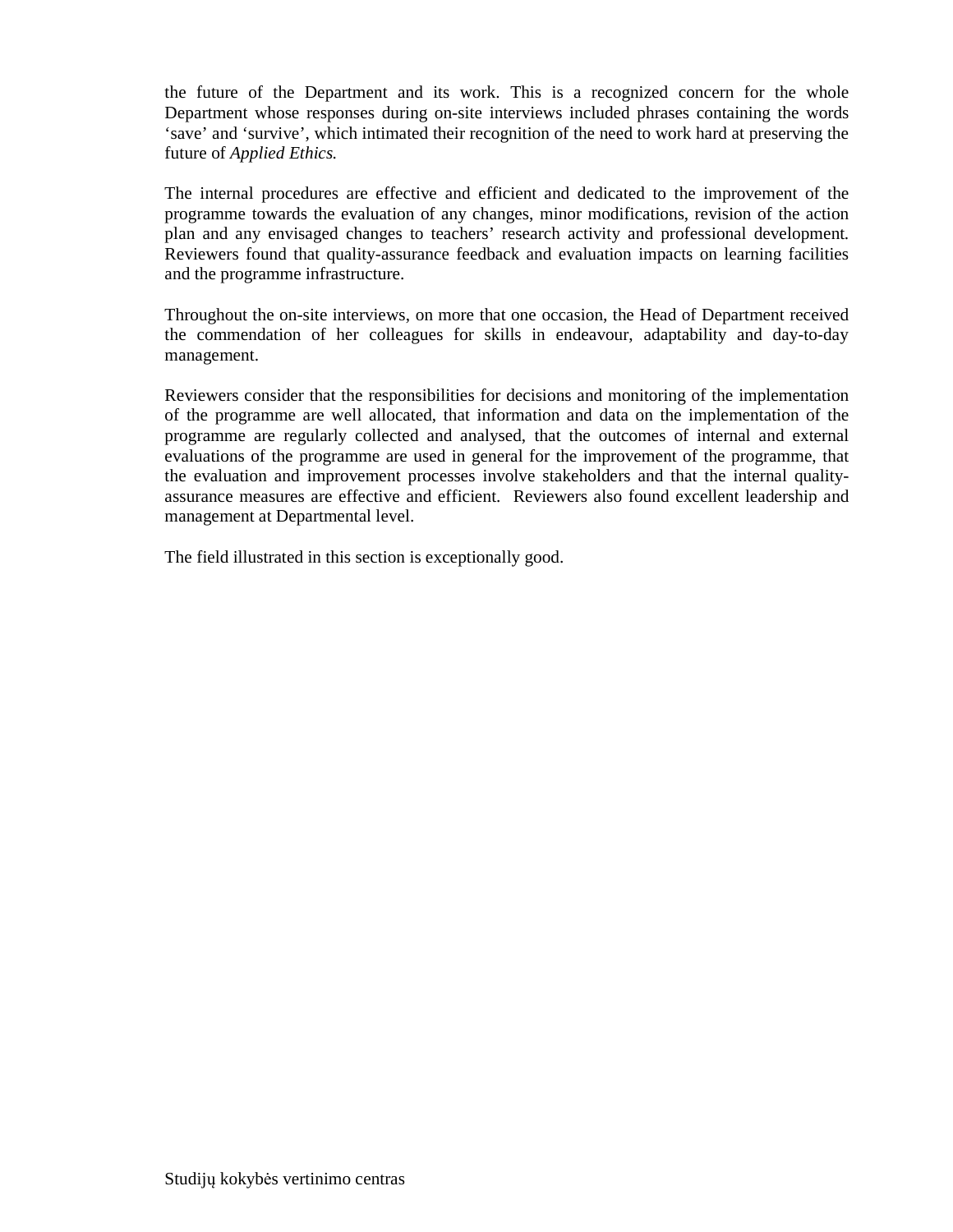the future of the Department and its work. This is a recognized concern for the whole Department whose responses during on-site interviews included phrases containing the words 'save' and 'survive', which intimated their recognition of the need to work hard at preserving the future of *Applied Ethics.* 

The internal procedures are effective and efficient and dedicated to the improvement of the programme towards the evaluation of any changes, minor modifications, revision of the action plan and any envisaged changes to teachers' research activity and professional development. Reviewers found that quality-assurance feedback and evaluation impacts on learning facilities and the programme infrastructure.

 Throughout the on-site interviews, on more that one occasion, the Head of Department received the commendation of her colleagues for skills in endeavour, adaptability and day-to-day management.

Reviewers consider that the responsibilities for decisions and monitoring of the implementation of the programme are well allocated, that information and data on the implementation of the programme are regularly collected and analysed, that the outcomes of internal and external evaluations of the programme are used in general for the improvement of the programme, that the evaluation and improvement processes involve stakeholders and that the internal qualityassurance measures are effective and efficient. Reviewers also found excellent leadership and management at Departmental level.

The field illustrated in this section is exceptionally good.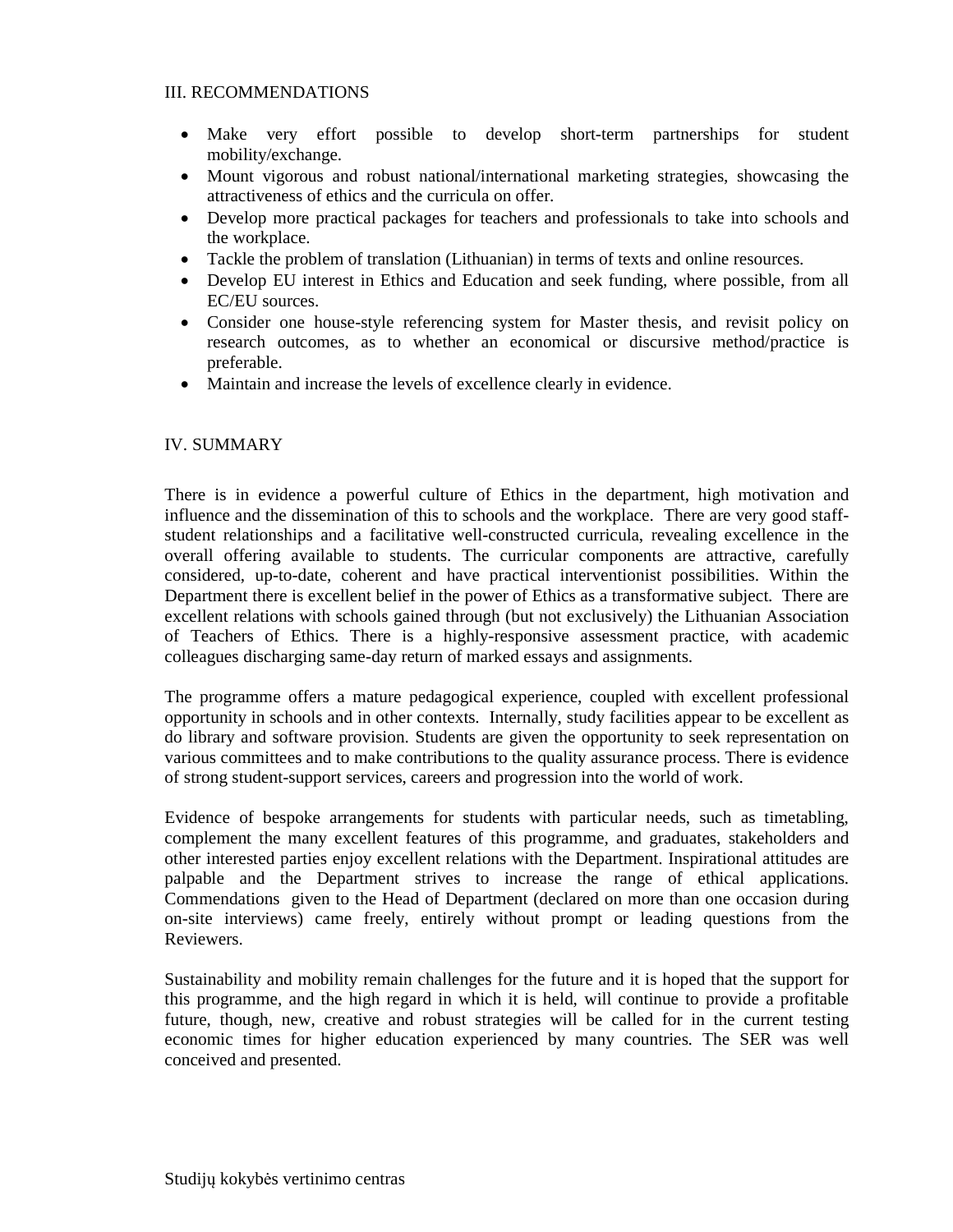#### III. RECOMMENDATIONS

- Make very effort possible to develop short-term partnerships for student mobility/exchange.
- Mount vigorous and robust national/international marketing strategies, showcasing the attractiveness of ethics and the curricula on offer.
- Develop more practical packages for teachers and professionals to take into schools and the workplace.
- Tackle the problem of translation (Lithuanian) in terms of texts and online resources.
- Develop EU interest in Ethics and Education and seek funding, where possible, from all EC/EU sources.
- Consider one house-style referencing system for Master thesis, and revisit policy on research outcomes, as to whether an economical or discursive method/practice is preferable.
- Maintain and increase the levels of excellence clearly in evidence.

## IV. SUMMARY

There is in evidence a powerful culture of Ethics in the department, high motivation and influence and the dissemination of this to schools and the workplace. There are very good staffstudent relationships and a facilitative well-constructed curricula, revealing excellence in the overall offering available to students. The curricular components are attractive, carefully considered, up-to-date, coherent and have practical interventionist possibilities. Within the Department there is excellent belief in the power of Ethics as a transformative subject. There are excellent relations with schools gained through (but not exclusively) the Lithuanian Association of Teachers of Ethics. There is a highly-responsive assessment practice, with academic colleagues discharging same-day return of marked essays and assignments.

The programme offers a mature pedagogical experience, coupled with excellent professional opportunity in schools and in other contexts. Internally, study facilities appear to be excellent as do library and software provision. Students are given the opportunity to seek representation on various committees and to make contributions to the quality assurance process. There is evidence of strong student-support services, careers and progression into the world of work.

Evidence of bespoke arrangements for students with particular needs, such as timetabling, complement the many excellent features of this programme, and graduates, stakeholders and other interested parties enjoy excellent relations with the Department. Inspirational attitudes are palpable and the Department strives to increase the range of ethical applications. Commendations given to the Head of Department (declared on more than one occasion during on-site interviews) came freely, entirely without prompt or leading questions from the Reviewers.

Sustainability and mobility remain challenges for the future and it is hoped that the support for this programme, and the high regard in which it is held, will continue to provide a profitable future, though, new, creative and robust strategies will be called for in the current testing economic times for higher education experienced by many countries. The SER was well conceived and presented.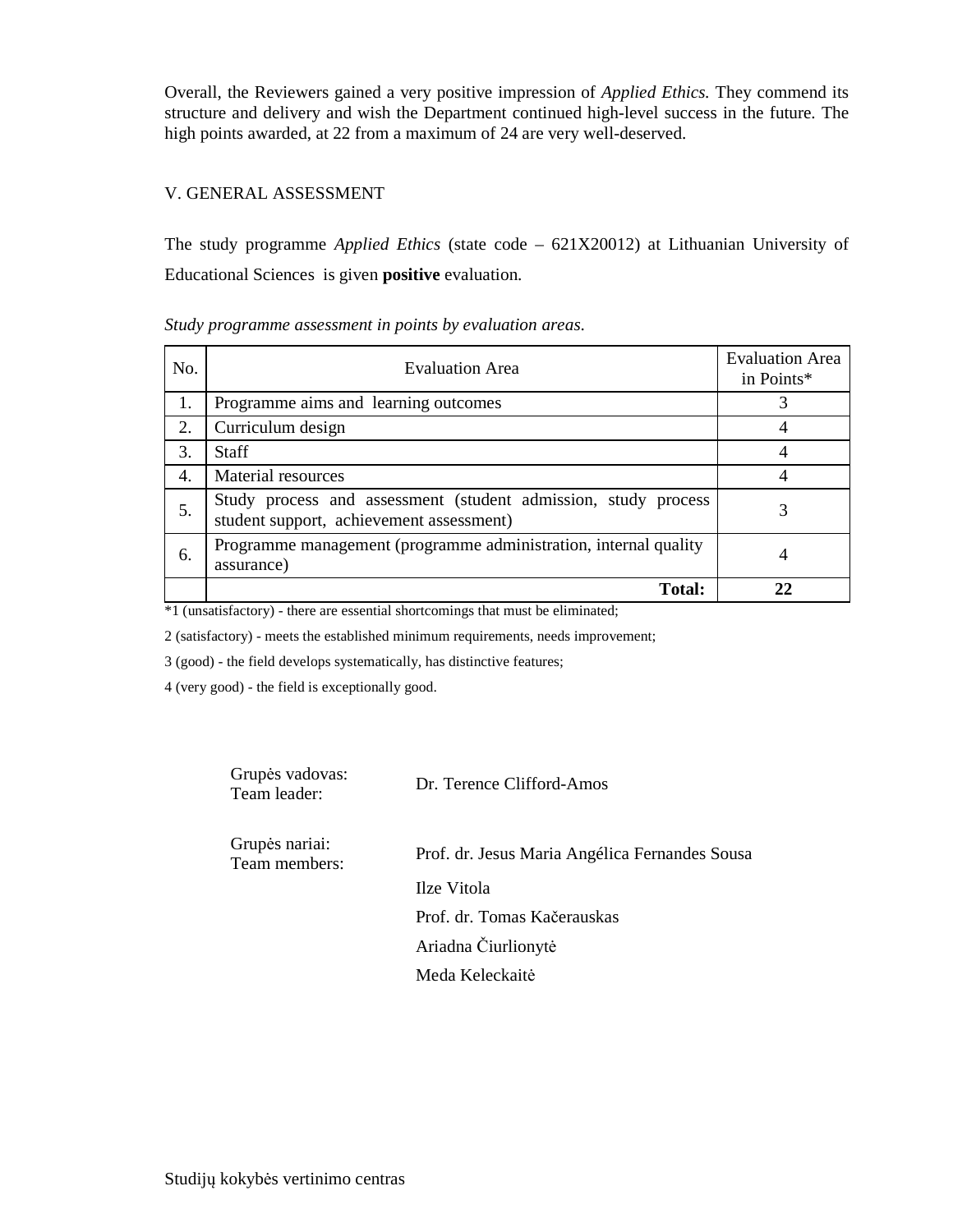Overall, the Reviewers gained a very positive impression of *Applied Ethics.* They commend its structure and delivery and wish the Department continued high-level success in the future. The high points awarded, at 22 from a maximum of 24 are very well-deserved.

## V. GENERAL ASSESSMENT

The study programme *Applied Ethics* (state code – 621X20012) at Lithuanian University of Educational Sciences is given **positive** evaluation.

#### *Study programme assessment in points by evaluation areas*.

| No. | <b>Evaluation Area</b>                                                                                     | <b>Evaluation Area</b><br>in Points* |
|-----|------------------------------------------------------------------------------------------------------------|--------------------------------------|
| 1.  | Programme aims and learning outcomes                                                                       |                                      |
| 2.  | Curriculum design                                                                                          |                                      |
| 3.  | <b>Staff</b>                                                                                               |                                      |
| 4.  | Material resources                                                                                         |                                      |
| 5.  | Study process and assessment (student admission, study process<br>student support, achievement assessment) |                                      |
| 6.  | Programme management (programme administration, internal quality<br>assurance)                             | 4                                    |
|     | <b>Total:</b>                                                                                              |                                      |

\*1 (unsatisfactory) - there are essential shortcomings that must be eliminated;

2 (satisfactory) - meets the established minimum requirements, needs improvement;

3 (good) - the field develops systematically, has distinctive features;

4 (very good) - the field is exceptionally good.

| Grupės vadovas:<br>Team leader: | Dr. Terence Clifford-Amos                      |
|---------------------------------|------------------------------------------------|
| Grupės nariai:<br>Team members: | Prof. dr. Jesus Maria Angélica Fernandes Sousa |
|                                 | Ilze Vitola                                    |
|                                 | Prof. dr. Tomas Kačerauskas                    |
|                                 | Ariadna Čiurlionytė                            |
|                                 | Meda Keleckaitė                                |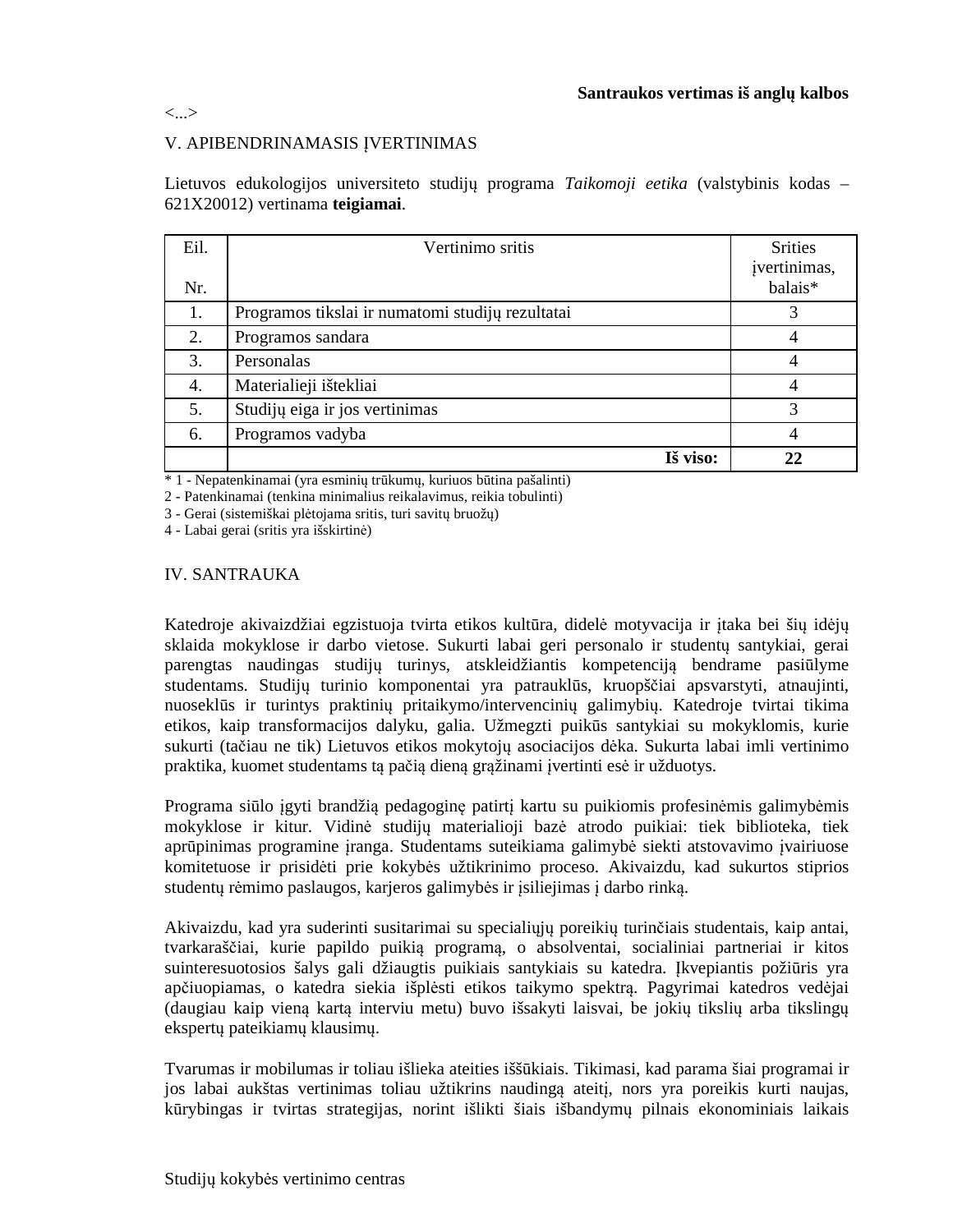<...>

## V. APIBENDRINAMASIS ĮVERTINIMAS

Lietuvos edukologijos universiteto studijų programa *Taikomoji eetika* (valstybinis kodas – 621X20012) vertinama **teigiamai**.

| Eil. | Vertinimo sritis                                 | <b>Srities</b><br>įvertinimas, |
|------|--------------------------------------------------|--------------------------------|
| Nr.  |                                                  | balais*                        |
| 1.   | Programos tikslai ir numatomi studijų rezultatai | 3                              |
| 2.   | Programos sandara                                |                                |
| 3.   | Personalas                                       | 4                              |
| 4.   | Materialieji ištekliai                           | 4                              |
| 5.   | Studijų eiga ir jos vertinimas                   | 3                              |
| 6.   | Programos vadyba                                 | 4                              |
|      | Iš viso:                                         | 22                             |

\* 1 - Nepatenkinamai (yra esminių trūkumų, kuriuos būtina pašalinti)

2 - Patenkinamai (tenkina minimalius reikalavimus, reikia tobulinti)

3 - Gerai (sistemiškai plėtojama sritis, turi savitų bruožų)

4 - Labai gerai (sritis yra išskirtinė)

#### IV. SANTRAUKA

Katedroje akivaizdžiai egzistuoja tvirta etikos kultūra, didelė motyvacija ir įtaka bei šių idėjų sklaida mokyklose ir darbo vietose. Sukurti labai geri personalo ir studentų santykiai, gerai parengtas naudingas studijų turinys, atskleidžiantis kompetenciją bendrame pasiūlyme studentams. Studijų turinio komponentai yra patrauklūs, kruopščiai apsvarstyti, atnaujinti, nuoseklūs ir turintys praktinių pritaikymo/intervencinių galimybių. Katedroje tvirtai tikima etikos, kaip transformacijos dalyku, galia. Užmegzti puikūs santykiai su mokyklomis, kurie sukurti (tačiau ne tik) Lietuvos etikos mokytojų asociacijos dėka. Sukurta labai imli vertinimo praktika, kuomet studentams tą pačią dieną grąžinami įvertinti esė ir užduotys.

Programa siūlo įgyti brandžią pedagoginę patirtį kartu su puikiomis profesinėmis galimybėmis mokyklose ir kitur. Vidinė studijų materialioji bazė atrodo puikiai: tiek biblioteka, tiek aprūpinimas programine įranga. Studentams suteikiama galimybė siekti atstovavimo įvairiuose komitetuose ir prisidėti prie kokybės užtikrinimo proceso. Akivaizdu, kad sukurtos stiprios studentų rėmimo paslaugos, karjeros galimybės ir įsiliejimas į darbo rinką.

Akivaizdu, kad yra suderinti susitarimai su specialiųjų poreikių turinčiais studentais, kaip antai, tvarkaraščiai, kurie papildo puikią programą, o absolventai, socialiniai partneriai ir kitos suinteresuotosios šalys gali džiaugtis puikiais santykiais su katedra. Įkvepiantis požiūris yra apčiuopiamas, o katedra siekia išplėsti etikos taikymo spektrą. Pagyrimai katedros vedėjai (daugiau kaip vieną kartą interviu metu) buvo išsakyti laisvai, be jokių tikslių arba tikslingų ekspertų pateikiamų klausimų.

Tvarumas ir mobilumas ir toliau išlieka ateities iššūkiais. Tikimasi, kad parama šiai programai ir jos labai aukštas vertinimas toliau užtikrins naudingą ateitį, nors yra poreikis kurti naujas, kūrybingas ir tvirtas strategijas, norint išlikti šiais išbandymų pilnais ekonominiais laikais